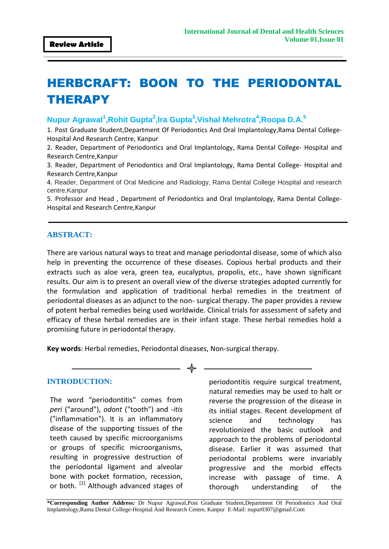# HERBCRAFT: BOON TO THE PERIODONTAL THERAPY

**Nupur Agrawal<sup>1</sup> ,Rohit Gupta<sup>2</sup> ,Ira Gupta<sup>3</sup> ,Vishal Mehrotra<sup>4</sup> ,Roopa D.A.<sup>5</sup>**

1. Post Graduate Student,Department Of Periodontics And Oral Implantology,Rama Dental College-Hospital And Research Centre, Kanpur

2. Reader, Department of Periodontics and Oral Implantology, Rama Dental College- Hospital and Research Centre,Kanpur

3. Reader, Department of Periodontics and Oral Implantology, Rama Dental College- Hospital and Research Centre,Kanpur

4. Reader, Department of Oral Medicine and Radiology, Rama Dental College Hospital and research centre,Kanpur

5. Professor and Head , Department of Periodontics and Oral Implantology, Rama Dental College-Hospital and Research Centre,Kanpur

#### **ABSTRACT:**

There are various natural ways to treat and manage periodontal disease, some of which also help in preventing the occurrence of these diseases. Copious herbal products and their extracts such as aloe vera, green tea, eucalyptus, propolis, etc., have shown significant results. Our aim is to present an overall view of the diverse strategies adopted currently for the formulation and application of traditional herbal remedies in the treatment of periodontal diseases as an adjunct to the non- surgical therapy. The paper provides a review of potent herbal remedies being used worldwide. Clinical trials for assessment of safety and efficacy of these herbal remedies are in their infant stage. These herbal remedies hold a promising future in periodontal therapy.

**Key words**: Herbal remedies, Periodontal diseases, Non-surgical therapy.

#### **INTRODUCTION:**

The word "periodontitis" comes from *peri* ("around"), *odont* ("tooth") and -*itis*  ("inflammation"). It is an inflammatory disease of the supporting tissues of the teeth caused by specific microorganisms or groups of specific microorganisms, resulting in progressive destruction of the periodontal ligament and alveolar bone with pocket formation, recession, or both. [1] Although advanced stages of periodontitis require surgical treatment, natural remedies may be used to halt or reverse the progression of the disease in its initial stages. Recent development of science and technology has revolutionized the basic outlook and approach to the problems of periodontal disease. Earlier it was assumed that periodontal problems were invariably progressive and the morbid effects increase with passage of time. A thorough understanding of the

**\*Corresponding Author Address***:* Dr Nupur Agrawal,Post Graduate Student,Department Of Periodontics And Oral Implantology,Rama Dental College-Hospital And Research Centre, Kanpur E-Mail[: nupur0307@gmail.Com](mailto:nupur0307@gmail.Com)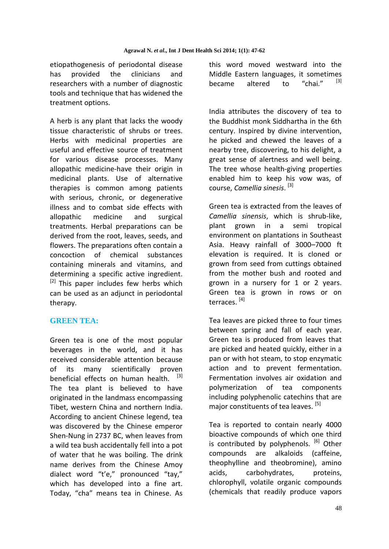etiopathogenesis of periodontal disease has provided the clinicians and researchers with a number of diagnostic tools and technique that has widened the treatment options.

A herb is any plant that lacks the woody tissue characteristic of shrubs or trees. Herbs with medicinal properties are useful and effective source of treatment for various disease processes. Many allopathic medicine-have their origin in medicinal plants. Use of alternative therapies is common among patients with serious, chronic, or degenerative illness and to combat side effects with allopathic medicine and surgical treatments. Herbal preparations can be derived from the root, leaves, seeds, and flowers. The preparations often contain a concoction of chemical substances containing minerals and vitamins, and determining a specific active ingredient.  $[2]$  This paper includes few herbs which can be used as an adjunct in periodontal therapy.

## **GREEN TEA:**

Green tea is one of the most popular beverages in the world, and it has received considerable attention because of its many scientifically proven beneficial effects on human health. [3] The tea plant is believed to have originated in the landmass encompassing Tibet, western China and northern India. According to ancient Chinese legend, tea was discovered by the Chinese emperor Shen-Nung in 2737 BC, when leaves from a wild tea bush accidentally fell into a pot of water that he was boiling. The drink name derives from the Chinese Amoy dialect word "t'e," pronounced "tay," which has developed into a fine art. Today, "cha" means tea in Chinese. As this word moved westward into the Middle Eastern languages, it sometimes<br>became altered to "shei" [3] became altered to "chai."

India attributes the discovery of tea to the Buddhist monk Siddhartha in the 6th century. Inspired by divine intervention, he picked and chewed the leaves of a nearby tree, discovering, to his delight, a great sense of alertness and well being. The tree whose health-giving properties enabled him to keep his vow was, of course, *Camellia sinesis*. [3]

Green tea is extracted from the leaves of *Camellia sinensis*, which is shrub-like, plant grown in a semi tropical environment on plantations in Southeast Asia. Heavy rainfall of 3000–7000 ft elevation is required. It is cloned or grown from seed from cuttings obtained from the mother bush and rooted and grown in a nursery for 1 or 2 years. Green tea is grown in rows or on terraces. [4]

Tea leaves are picked three to four times between spring and fall of each year. Green tea is produced from leaves that are picked and heated quickly, either in a pan or with hot steam, to stop enzymatic action and to prevent fermentation. Fermentation involves air oxidation and polymerization of tea components including polyphenolic catechins that are major constituents of tea leaves. [5]

Tea is reported to contain nearly 4000 bioactive compounds of which one third is contributed by polyphenols.  $[6]$  Other compounds are alkaloids (caffeine, theophylline and theobromine), amino acids, carbohydrates, proteins, chlorophyll, volatile organic compounds (chemicals that readily produce vapors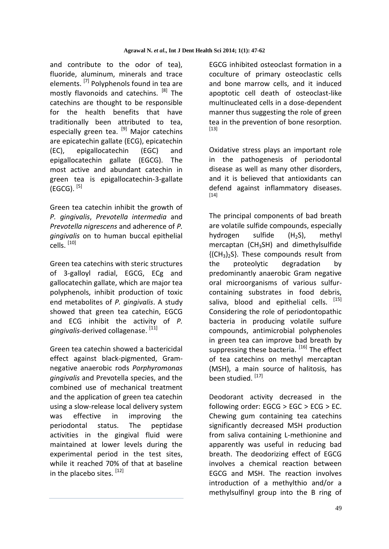and contribute to the odor of tea), fluoride, aluminum, minerals and trace elements. <sup>[7]</sup> Polyphenols found in tea are mostly flavonoids and catechins. [8] The catechins are thought to be responsible for the health benefits that have traditionally been attributed to tea, especially green tea. [9] Major catechins are epicatechin gallate (ECG), epicatechin (EC), epigallocatechin (EGC) and epigallocatechin gallate (EGCG). The most active and abundant catechin in green tea is epigallocatechin-3-gallate (EGCG).  $^{[5]}$ 

Green tea catechin inhibit the growth of *P. gingivalis*, *Prevotella intermedia* and *Prevotella nigrescens* and adherence of *P. gingivalis* on to human buccal epithelial cells. [10]

Green tea catechins with steric structures of 3-galloyl radial, EGCG, ECg and gallocatechin gallate, which are major tea polyphenols, inhibit production of toxic end metabolites of *P. gingivalis*. A study showed that green tea catechin, EGCG and ECG inhibit the activity of *P. gingivalis*-derived collagenase. [11]

Green tea catechin showed a bactericidal effect against black-pigmented, Gramnegative anaerobic rods *Porphyromonas gingivalis* and Prevotella species, and the combined use of mechanical treatment and the application of green tea catechin using a slow-release local delivery system was effective in improving the periodontal status. The peptidase activities in the gingival fluid were maintained at lower levels during the experimental period in the test sites, while it reached 70% of that at baseline in the placebo sites.  $[12]$ 

EGCG inhibited osteoclast formation in a coculture of primary osteoclastic cells and bone marrow cells, and it induced apoptotic cell death of osteoclast-like multinucleated cells in a dose-dependent manner thus suggesting the role of green tea in the prevention of bone resorption.  $[13]$ 

Oxidative stress plays an important role in the pathogenesis of periodontal disease as well as many other disorders, and it is believed that antioxidants can defend against inflammatory diseases. [14]

The principal components of bad breath are volatile sulfide compounds, especially hydrogen sulfide (H<sub>2</sub>S), methyl mercaptan ( $CH<sub>3</sub>SH$ ) and dimethylsulfide  ${({CH_3})_2S}$ . These compounds result from the proteolytic degradation by predominantly anaerobic Gram negative oral microorganisms of various sulfurcontaining substrates in food debris, saliva, blood and epithelial cells. [15] Considering the role of periodontopathic bacteria in producing volatile sulfure compounds, antimicrobial polyphenoles in green tea can improve bad breath by suppressing these bacteria. [16] The effect of tea catechins on methyl mercaptan (MSH), a main source of halitosis, has been studied. [17]

Deodorant activity decreased in the following order: EGCG > EGC > ECG > EC. Chewing gum containing tea catechins significantly decreased MSH production from saliva containing L-methionine and apparently was useful in reducing bad breath. The deodorizing effect of EGCG involves a chemical reaction between EGCG and MSH. The reaction involves introduction of a methylthio and/or a methylsulfinyl group into the B ring of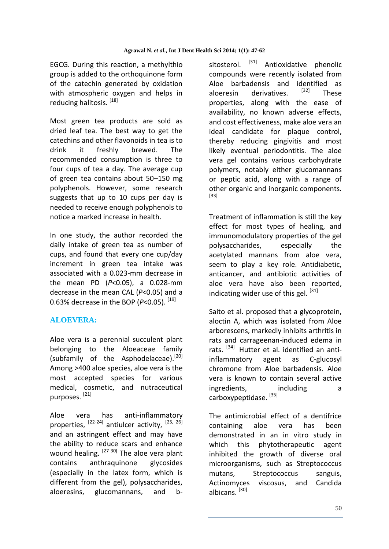EGCG. During this reaction, a methylthio group is added to the orthoquinone form of the catechin generated by oxidation with atmospheric oxygen and helps in reducing halitosis. [18]

Most green tea products are sold as dried leaf tea. The best way to get the catechins and other flavonoids in tea is to drink it freshly brewed. The recommended consumption is three to four cups of tea a day. The average cup of green tea contains about 50–150 mg polyphenols. However, some research suggests that up to 10 cups per day is needed to receive enough polyphenols to notice a marked increase in health.

In one study, the author recorded the daily intake of green tea as number of cups, and found that every one cup/day increment in green tea intake was associated with a 0.023-mm decrease in the mean PD (*P*<0.05), a 0.028-mm decrease in the mean CAL (*P*<0.05) and a 0.63% decrease in the BOP ( $P$ <0.05). [19]

## **ALOEVERA:**

Aloe vera is a perennial succulent plant belonging to the Aloeaceae family (subfamily of the Asphodelaceae).<sup>[20]</sup> Among >400 aloe species, aloe vera is the most accepted species for various medical, cosmetic, and nutraceutical purposes. [21]

Aloe vera has anti-inflammatory properties, [22-24] antiulcer activity, [25, 26] and an astringent effect and may have the ability to reduce scars and enhance wound healing. [27-30] The aloe vera plant contains anthraquinone glycosides (especially in the latex form, which is different from the gel), polysaccharides, aloeresins, glucomannans, and bsitosterol. <sup>[31]</sup> Antioxidative phenolic compounds were recently isolated from Aloe barbadensis and identified as<br>alography derivatives  $[32]$  These aloeresin derivatives. <sup>[32]</sup> These properties, along with the ease of availability, no known adverse effects, and cost effectiveness, make aloe vera an ideal candidate for plaque control, thereby reducing gingivitis and most likely eventual periodontitis. The aloe vera gel contains various carbohydrate polymers, notably either glucomannans or peptic acid, along with a range of other organic and inorganic components. [33]

Treatment of inflammation is still the key effect for most types of healing, and immunomodulatory properties of the gel polysaccharides, especially the acetylated mannans from aloe vera, seem to play a key role. Antidiabetic, anticancer, and antibiotic activities of aloe vera have also been reported, indicating wider use of this gel. [31]

Saito et al. proposed that a glycoprotein, aloctin A, which was isolated from Aloe arborescens, markedly inhibits arthritis in rats and carrageenan-induced edema in rats. <sup>[34]</sup> Hutter et al. identified an antiinflammatory agent as C-glucosyl chromone from Aloe barbadensis. Aloe vera is known to contain several active ingredients, including a carboxypeptidase. [35]

The antimicrobial effect of a dentifrice containing aloe vera has been demonstrated in an in vitro study in which this phytotherapeutic agent inhibited the growth of diverse oral microorganisms, such as Streptococcus mutans, Streptococcus sanguis, Actinomyces viscosus, and Candida albicans.<sup>[30]</sup>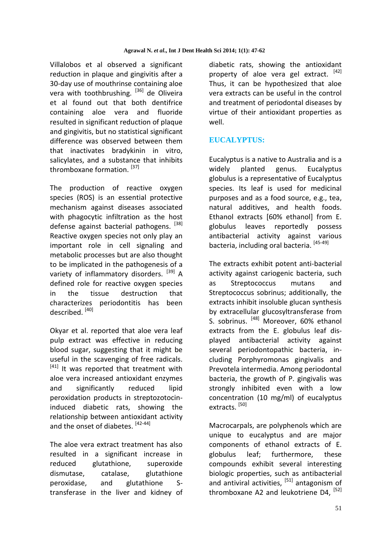Villalobos et al observed a significant reduction in plaque and gingivitis after a 30-day use of mouthrinse containing aloe vera with toothbrushing. [36] de Oliveira et al found out that both dentifrice containing aloe vera and fluoride resulted in significant reduction of plaque and gingivitis, but no statistical significant difference was observed between them that inactivates bradykinin in vitro, salicylates, and a substance that inhibits thromboxane formation. [37]

The production of reactive oxygen species (ROS) is an essential protective mechanism against diseases associated with phagocytic infiltration as the host defense against bacterial pathogens. <sup>[38]</sup> Reactive oxygen species not only play an important role in cell signaling and metabolic processes but are also thought to be implicated in the pathogenesis of a variety of inflammatory disorders. <sup>[39]</sup> A defined role for reactive oxygen species in the tissue destruction that characterizes periodontitis has been described. [40]

Okyar et al. reported that aloe vera leaf pulp extract was effective in reducing blood sugar, suggesting that it might be useful in the scavenging of free radicals.  $[41]$  It was reported that treatment with aloe vera increased antioxidant enzymes and significantly reduced lipid peroxidation products in streptozotocininduced diabetic rats, showing the relationship between antioxidant activity and the onset of diabetes. [42-44]

The aloe vera extract treatment has also resulted in a significant increase in reduced glutathione, superoxide dismutase, catalase, glutathione peroxidase, and glutathione Stransferase in the liver and kidney of diabetic rats, showing the antioxidant property of aloe vera gel extract.  $[42]$ Thus, it can be hypothesized that aloe vera extracts can be useful in the control and treatment of periodontal diseases by virtue of their antioxidant properties as well.

# **EUCALYPTUS:**

Eucalyptus is a native to Australia and is a widely planted genus. Eucalyptus globulus is a representative of Eucalyptus species. Its leaf is used for medicinal purposes and as a food source, e.g., tea, natural additives, and health foods. Ethanol extracts [60% ethanol] from E. globulus leaves reportedly possess antibacterial activity against various bacteria, including oral bacteria. [45-49]

The extracts exhibit potent anti-bacterial activity against cariogenic bacteria, such as Streptococcus mutans and Streptococcus sobrinus; additionally, the extracts inhibit insoluble glucan synthesis by extracellular glucosyltransferase from S. sobrinus. [48] Moreover, 60% ethanol extracts from the E. globulus leaf displayed antibacterial activity against several periodontopathic bacteria, including Porphyromonas gingivalis and Prevotela intermedia. Among periodontal bacteria, the growth of P. gingivalis was strongly inhibited even with a low concentration (10 mg/ml) of eucalyptus extracts.<sup>[50]</sup>

Macrocarpals, are polyphenols which are unique to eucalyptus and are major components of ethanol extracts of E. globulus leaf; furthermore, these compounds exhibit several interesting biologic properties, such as antibacterial and antiviral activities,  $[51]$  antagonism of thromboxane A2 and leukotriene D4.<sup>[52]</sup>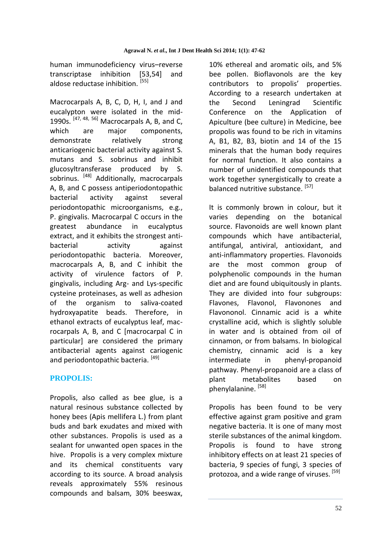human immunodeficiency virus–reverse transcriptase inhibition [53,54] and aldose reductase inhibition. [55]

Macrocarpals A, B, C, D, H, I, and J and eucalypton were isolated in the mid-1990s.  $[47, 48, 56]$  Macrocarpals A, B, and C, which are major components, demonstrate relatively strong anticariogenic bacterial activity against S. mutans and S. sobrinus and inhibit glucosyltransferase produced by S. sobrinus. [48] Additionally, macrocarpals A, B, and C possess antiperiodontopathic bacterial activity against several periodontopathic microorganisms, e.g., P. gingivalis. Macrocarpal C occurs in the greatest abundance in eucalyptus extract, and it exhibits the strongest antibacterial activity against periodontopathic bacteria. Moreover, macrocarpals A, B, and C inhibit the activity of virulence factors of P. gingivalis, including Arg- and Lys-specific cysteine proteinases, as well as adhesion of the organism to saliva-coated hydroxyapatite beads. Therefore, in ethanol extracts of eucalyptus leaf, macrocarpals A, B, and C [macrocarpal C in particular] are considered the primary antibacterial agents against cariogenic and periodontopathic bacteria. [49]

## **PROPOLIS:**

Propolis, also called as bee glue, is a natural resinous substance collected by honey bees (Apis mellifera L.) from plant buds and bark exudates and mixed with other substances. Propolis is used as a sealant for unwanted open spaces in the hive. Propolis is a very complex mixture and its chemical constituents vary according to its source. A broad analysis reveals approximately 55% resinous compounds and balsam, 30% beeswax,

10% ethereal and aromatic oils, and 5% bee pollen. Bioflavonols are the key contributors to propolis' properties. According to a research undertaken at the Second Leningrad Scientific Conference on the Application of Apiculture (bee culture) in Medicine, bee propolis was found to be rich in vitamins A, B1, B2, B3, biotin and 14 of the 15 minerals that the human body requires for normal function. It also contains a number of unidentified compounds that work together synergistically to create a balanced nutritive substance. [57]

It is commonly brown in colour, but it varies depending on the botanical source. Flavonoids are well known plant compounds which have antibacterial, antifungal, antiviral, antioxidant, and anti-inflammatory properties. Flavonoids are the most common group of polyphenolic compounds in the human diet and are found ubiquitously in plants. They are divided into four subgroups: Flavones, Flavonol, Flavonones and Flavononol. Cinnamic acid is a white crystalline acid, which is slightly soluble in water and is obtained from oil of cinnamon, or from balsams. In biological chemistry, cinnamic acid is a key intermediate in phenyl-propanoid pathway. Phenyl-propanoid are a class of plant metabolites based on phenylalanine. [58]

Propolis has been found to be very effective against gram positive and gram negative bacteria. It is one of many most sterile substances of the animal kingdom. Propolis is found to have strong inhibitory effects on at least 21 species of bacteria, 9 species of fungi, 3 species of protozoa, and a wide range of viruses. [59]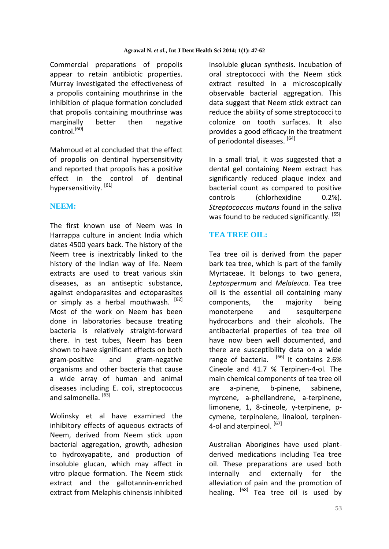Commercial preparations of propolis appear to retain antibiotic properties. Murray investigated the effectiveness of a propolis containing mouthrinse in the inhibition of plaque formation concluded that propolis containing mouthrinse was marginally better then negative control.[60]

Mahmoud et al concluded that the effect of propolis on dentinal hypersensitivity and reported that propolis has a positive effect in the control of dentinal hypersensitivity. <sup>[61]</sup>

## **NEEM:**

The first known use of Neem was in Harrappa culture in ancient India which dates 4500 years back. The history of the Neem tree is inextricably linked to the history of the Indian way of life. Neem extracts are used to treat various skin diseases, as an antiseptic substance, against endoparasites and ectoparasites or simply as a herbal mouthwash.  $[62]$ Most of the work on Neem has been done in laboratories because treating bacteria is relatively straight-forward there. In test tubes, Neem has been shown to have significant effects on both gram-positive and gram-negative organisms and other bacteria that cause a wide array of human and animal diseases including E. coli, streptococcus and salmonella.<sup>[63]</sup>

Wolinsky et al have examined the inhibitory effects of aqueous extracts of Neem, derived from Neem stick upon bacterial aggregation, growth, adhesion to hydroxyapatite, and production of insoluble glucan, which may affect in vitro plaque formation. The Neem stick extract and the gallotannin-enriched extract from Melaphis chinensis inhibited insoluble glucan synthesis. Incubation of oral streptococci with the Neem stick extract resulted in a microscopically observable bacterial aggregation. This data suggest that Neem stick extract can reduce the ability of some streptococci to colonize on tooth surfaces. It also provides a good efficacy in the treatment of periodontal diseases. [64]

In a small trial, it was suggested that a dental gel containing Neem extract has significantly reduced plaque index and bacterial count as compared to positive controls (chlorhexidine 0.2%). *Streptococcus mutans* found in the saliva was found to be reduced significantly. [65]

# **TEA TREE OIL:**

Tea tree oil is derived from the paper bark tea tree, which is part of the family Myrtaceae. It belongs to two genera, *Leptospermum* and *Melaleuca.* Tea tree oil is the essential oil containing many components, the majority being monoterpene and sesquiterpene hydrocarbons and their alcohols. The antibacterial properties of tea tree oil have now been well documented, and there are susceptibility data on a wide range of bacteria*.*  [66] It contains 2.6% Cineole and 41.7 % Terpinen-4-ol. The main chemical components of tea tree oil are a-pinene, b-pinene, sabinene, myrcene, a-phellandrene, a-terpinene, limonene, 1, 8-cineole, y-terpinene, pcymene, terpinolene, linalool, terpinen-4-ol and aterpineol. [67]

Australian Aborigines have used plantderived medications including Tea tree oil. These preparations are used both internally and externally for the alleviation of pain and the promotion of healing. <sup>[68]</sup> Tea tree oil is used by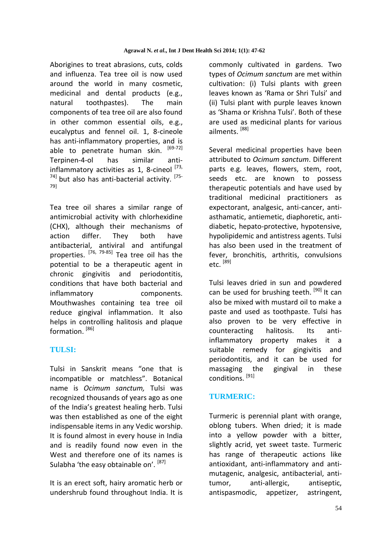Aborigines to treat abrasions, cuts, colds and influenza. Tea tree oil is now used around the world in many cosmetic, medicinal and dental products (e.g., natural toothpastes). The main components of tea tree oil are also found in other common essential oils, e.g., eucalyptus and fennel oil. 1, 8-cineole has anti-inflammatory properties, and is able to penetrate human skin. [69-72] Terpinen-4-ol has similar antiinflammatory activities as 1, 8-cineol  $^{[73]}$  $^{74}$ ] but also has anti-bacterial activity.  $^{[75-]}$ 79]

Tea tree oil shares a similar range of antimicrobial activity with chlorhexidine (CHX), although their mechanisms of action differ. They both have antibacterial, antiviral and antifungal properties. [76, 79-85] Tea tree oil has the potential to be a therapeutic agent in chronic gingivitis and periodontitis, conditions that have both bacterial and inflammatory components. Mouthwashes containing tea tree oil reduce gingival inflammation. It also helps in controlling halitosis and plaque formation.<sup>[86]</sup>

## **TULSI:**

Tulsi in Sanskrit means "one that is incompatible or matchless". Botanical name is *Ocimum sanctum,* Tulsi was recognized thousands of years ago as one of the India's greatest healing herb. Tulsi was then established as one of the eight indispensable items in any Vedic worship. It is found almost in every house in India and is readily found now even in the West and therefore one of its names is Sulabha 'the easy obtainable on'. [87]

It is an erect soft, hairy aromatic herb or undershrub found throughout India. It is commonly cultivated in gardens. Two types of *Ocimum sanctum* are met within cultivation: (i) Tulsi plants with green leaves known as 'Rama or Shri Tulsi' and (ii) Tulsi plant with purple leaves known as 'Shama or Krishna Tulsi'. Both of these are used as medicinal plants for various ailments. [88]

Several medicinal properties have been attributed to *Ocimum sanctum*. Different parts e.g. leaves, flowers, stem, root, seeds etc. are known to possess therapeutic potentials and have used by traditional medicinal practitioners as expectorant, analgesic, anti-cancer, antiasthamatic, antiemetic, diaphoretic, antidiabetic, hepato-protective, hypotensive, hypolipidemic and antistress agents. Tulsi has also been used in the treatment of fever, bronchitis, arthritis, convulsions etc. [89]

Tulsi leaves dried in sun and powdered can be used for brushing teeth. [90] It can also be mixed with mustard oil to make a paste and used as toothpaste. Tulsi has also proven to be very effective in counteracting halitosis. Its antiinflammatory property makes it a suitable remedy for gingivitis and periodontitis, and it can be used for massaging the gingival in these conditions. [91]

## **TURMERIC:**

Turmeric is perennial plant with orange, oblong tubers. When dried; it is made into a yellow powder with a bitter, slightly acrid, yet sweet taste. Turmeric has range of therapeutic actions like antioxidant, anti-inflammatory and antimutagenic, analgesic, antibacterial, antitumor, anti-allergic, antiseptic, antispasmodic, appetizer, astringent,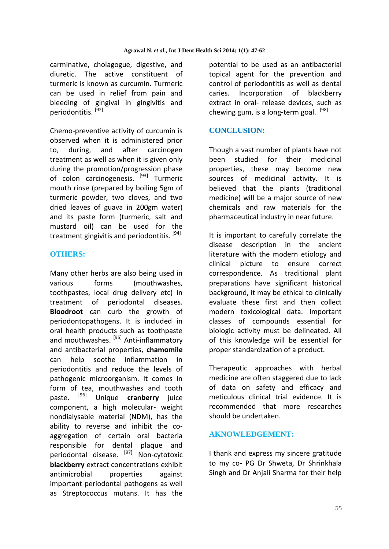carminative, cholagogue, digestive, and diuretic. The active constituent of turmeric is known as curcumin. Turmeric can be used in relief from pain and bleeding of gingival in gingivitis and periodontitis. [92]

Chemo-preventive activity of curcumin is observed when it is administered prior to, during, and after carcinogen treatment as well as when it is given only during the promotion/progression phase of colon carcinogenesis. [93] Turmeric mouth rinse (prepared by boiling 5gm of turmeric powder, two cloves, and two dried leaves of guava in 200gm water) and its paste form (turmeric, salt and mustard oil) can be used for the treatment gingivitis and periodontitis.<sup>[94]</sup>

#### **OTHERS:**

Many other herbs are also being used in various forms (mouthwashes, toothpastes, local drug delivery etc) in treatment of periodontal diseases. **Bloodroot** can curb the growth of periodontopathogens. It is included in oral health products such as toothpaste and mouthwashes. [95] Anti-inflammatory and antibacterial properties, **chamomile** can help soothe inflammation in periodontitis and reduce the levels of pathogenic microorganism. It comes in form of tea, mouthwashes and tooth paste. [96] Unique **cranberry** juice component, a high molecular- weight nondialysable material (NDM), has the ability to reverse and inhibit the coaggregation of certain oral bacteria responsible for dental plaque and periodontal disease. [97] Non-cytotoxic **blackberry** extract concentrations exhibit antimicrobial properties against important periodontal pathogens as well as Streptococcus mutans. It has the

potential to be used as an antibacterial topical agent for the prevention and control of periodontitis as well as dental caries. Incorporation of blackberry extract in oral- release devices, such as chewing gum, is a long-term goal.  $[98]$ 

#### **CONCLUSION:**

Though a vast number of plants have not been studied for their medicinal properties, these may become new sources of medicinal activity. It is believed that the plants (traditional medicine) will be a major source of new chemicals and raw materials for the pharmaceutical industry in near future.

It is important to carefully correlate the disease description in the ancient literature with the modern etiology and clinical picture to ensure correct correspondence. As traditional plant preparations have significant historical background, it may be ethical to clinically evaluate these first and then collect modern toxicological data. Important classes of compounds essential for biologic activity must be delineated. All of this knowledge will be essential for proper standardization of a product.

Therapeutic approaches with herbal medicine are often staggered due to lack of data on safety and efficacy and meticulous clinical trial evidence. It is recommended that more researches should be undertaken.

## **AKNOWLEDGEMENT:**

I thank and express my sincere gratitude to my co- PG Dr Shweta, Dr Shrinkhala Singh and Dr Anjali Sharma for their help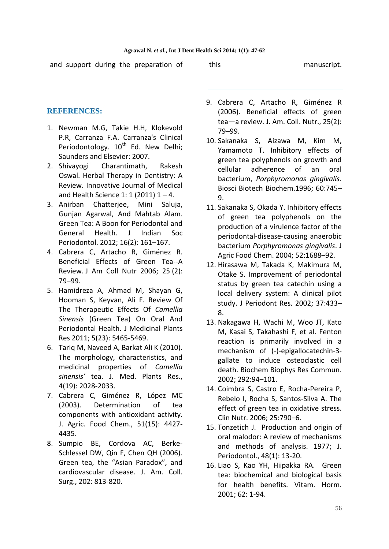and support during the preparation of this this manuscript.

## **REFERENCES:**

- 1. Newman M.G, Takie H.H, Klokevold P.R, Carranza F.A. Carranza's Clinical Periodontology.  $10^{th}$  Ed. New Delhi; Saunders and Elsevier: 2007.
- 2. Shivayogi Charantimath, Rakesh Oswal. Herbal Therapy in Dentistry: A Review. Innovative Journal of Medical and Health Science 1: 1 (2011)  $1 - 4$ .
- 3. [Anirban Chatterjee,](http://www.ncbi.nlm.nih.gov/pubmed/?term=Chatterjee%20A%5Bauth%5D) [Mini Saluja,](http://www.ncbi.nlm.nih.gov/pubmed/?term=Saluja%20M%5Bauth%5D) [Gunjan Agarwal,](http://www.ncbi.nlm.nih.gov/pubmed/?term=Agarwal%20G%5Bauth%5D) And [Mahtab Alam.](http://www.ncbi.nlm.nih.gov/pubmed/?term=Alam%20M%5Bauth%5D) Green Tea: A Boon for Periodontal and General Health. J Indian Soc Periodontol. 2012; 16(2): 161–167.
- 4. Cabrera C, Artacho R, Giménez R. Beneficial Effects of Green Tea--A Review. J Am Coll Nutr 2006; 25 (2): 79–99.
- 5. Hamidreza A, Ahmad M, Shayan G, Hooman S, Keyvan, Ali F. Review Of The Therapeutic Effects Of *Camellia Sinensis* (Green Tea) On Oral And Periodontal Health. J Medicinal Plants Res 2011; 5(23): 5465-5469.
- 6. Tariq M, Naveed A, Barkat Ali K (2010). The morphology, characteristics, and medicinal properties of *Camellia sinensis'* tea. J. Med. Plants Res., 4(19): 2028-2033.
- 7. Cabrera C, Giménez R, López MC (2003). Determination of tea components with antioxidant activity. J. Agric. Food Chem., 51(15): 4427- 4435.
- 8. Sumpio BE, Cordova AC, Berke-Schlessel DW, Qin F, Chen QH (2006). Green tea, the "Asian Paradox", and cardiovascular disease. J. Am. Coll. Surg., 202: 813-820.
- 9. Cabrera C, Artacho R, Giménez R (2006). Beneficial effects of green tea―a review. J. Am. Coll. Nutr., 25(2): 79–99.
- 10. Sakanaka S, Aizawa M, Kim M, Yamamoto T. Inhibitory effects of green tea polyphenols on growth and cellular adherence of an oral bacterium, *Porphyromonas gingivalis*. Biosci Biotech Biochem.1996; 60:745– 9.
- 11. Sakanaka S, Okada Y. Inhibitory effects of green tea polyphenols on the production of a virulence factor of the periodontal-disease-causing anaerobic bacterium *Porphyromonas gingivalis*. J Agric Food Chem. 2004; 52:1688–92.
- 12. Hirasawa M, Takada K, Makimura M, Otake S. Improvement of periodontal status by green tea catechin using a local delivery system: A clinical pilot study. J Periodont Res. 2002; 37:433– 8.
- 13. Nakagawa H, Wachi M, Woo JT, Kato M, Kasai S, Takahashi F, et al. Fenton reaction is primarily involved in a mechanism of (-)-epigallocatechin-3 gallate to induce osteoclastic cell death. Biochem Biophys Res Commun. 2002; 292:94–101.
- 14. Coimbra S, Castro E, Rocha-Pereira P, Rebelo I, Rocha S, Santos-Silva A. The effect of green tea in oxidative stress. Clin Nutr. 2006; 25:790–6.
- 15. Tonzetich J. Production and origin of oral malodor: A review of mechanisms and methods of analysis. 1977; J. Periodontol., 48(1): 13-20.
- 16. Liao S, Kao YH, Hiipakka RA. Green tea: biochemical and biological basis for health benefits. Vitam. Horm. 2001; 62: 1-94.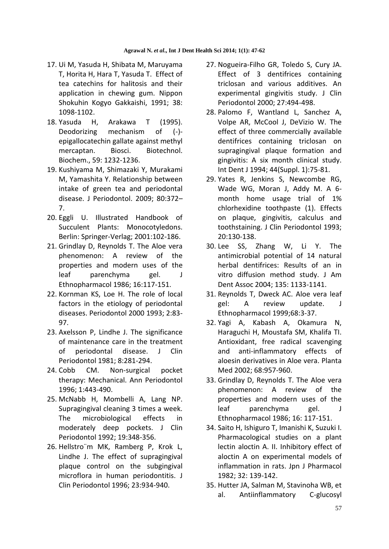- 17. Ui M, Yasuda H, Shibata M, Maruyama T, Horita H, Hara T, Yasuda T. Effect of tea catechins for halitosis and their application in chewing gum. Nippon Shokuhin Kogyo Gakkaishi, 1991; 38: 1098-1102.
- 18. Yasuda H, Arakawa T (1995). Deodorizing mechanism of (-) epigallocatechin gallate against methyl mercaptan. Biosci. Biotechnol. Biochem., 59: 1232-1236.
- 19. Kushiyama M, Shimazaki Y, Murakami M, Yamashita Y. Relationship between intake of green tea and periodontal disease. J Periodontol. 2009; 80:372– 7.
- 20. Eggli U. Illustrated Handbook of Succulent Plants: Monocotyledons. Berlin: Springer-Verlag; 2001:102-186.
- 21. Grindlay D, Reynolds T. The Aloe vera phenomenon: A review of the properties and modern uses of the leaf parenchyma gel. J Ethnopharmacol 1986; 16:117-151.
- 22. Kornman KS, Loe H. The role of local factors in the etiology of periodontal diseases. Periodontol 2000 1993; 2:83- 97.
- 23. Axelsson P, Lindhe J. The significance of maintenance care in the treatment of periodontal disease. J Clin Periodontol 1981; 8:281-294.
- 24. Cobb CM. Non-surgical pocket therapy: Mechanical. Ann Periodontol 1996; 1:443-490.
- 25. McNabb H, Mombelli A, Lang NP. Supragingival cleaning 3 times a week. The microbiological effects in moderately deep pockets. J Clin Periodontol 1992; 19:348-356.
- 26. Hellstro¨m MK, Ramberg P, Krok L, Lindhe J. The effect of supragingival plaque control on the subgingival microflora in human periodontitis. J Clin Periodontol 1996; 23:934-940.
- 27. Nogueira-Filho GR, Toledo S, Cury JA. Effect of 3 dentifrices containing triclosan and various additives. An experimental gingivitis study. J Clin Periodontol 2000; 27:494-498.
- 28. Palomo F, Wantland L, Sanchez A, Volpe AR, McCool J, DeVizio W. The effect of three commercially available dentifrices containing triclosan on supragingival plaque formation and gingivitis: A six month clinical study. Int Dent J 1994; 44(Suppl. 1):75-81.
- 29. Yates R, Jenkins S, Newcombe RG, Wade WG, Moran J, Addy M. A 6 month home usage trial of 1% chlorhexidine toothpaste (1). Effects on plaque, gingivitis, calculus and toothstaining. J Clin Periodontol 1993; 20:130-138.
- 30. Lee SS, Zhang W, Li Y. The antimicrobial potential of 14 natural herbal dentifrices: Results of an in vitro diffusion method study. J Am Dent Assoc 2004; 135: 1133-1141.
- 31. Reynolds T, Dweck AC. Aloe vera leaf gel: A review update. J Ethnopharmacol 1999;68:3-37.
- 32. Yagi A, Kabash A, Okamura N, Haraguchi H, Moustafa SM, Khalifa TI. Antioxidant, free radical scavenging and anti-inflammatory effects of aloesin derivatives in Aloe vera. Planta Med 2002; 68:957-960.
- 33. Grindlay D, Reynolds T. The Aloe vera phenomenon: A review of the properties and modern uses of the leaf parenchyma gel. J Ethnopharmacol 1986; 16: 117-151.
- 34. Saito H, Ishiguro T, Imanishi K, Suzuki I. Pharmacological studies on a plant lectin aloctin A. II. Inhibitory effect of aloctin A on experimental models of inflammation in rats. Jpn J Pharmacol 1982; 32: 139-142.
- 35. Hutter JA, Salman M, Stavinoha WB, et al. Antiinflammatory C-glucosyl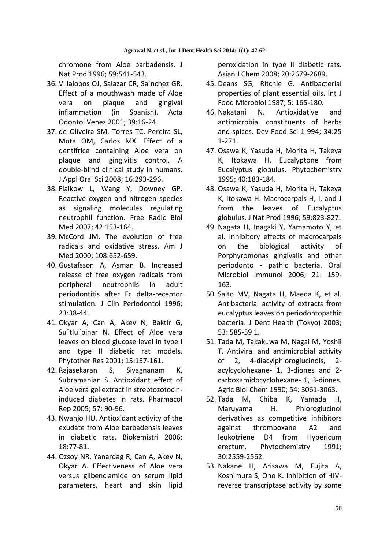chromone from Aloe barbadensis. J Nat Prod 1996; 59:541-543.

- 36. Villalobos OJ, Salazar CR, Sa´nchez GR. Effect of a mouthwash made of Aloe vera on plaque and gingival inflammation (in Spanish). Acta Odontol Venez 2001; 39:16-24.
- 37. de Oliveira SM, Torres TC, Pereira SL, Mota OM, Carlos MX. Effect of a dentifrice containing Aloe vera on plaque and gingivitis control. A double-blind clinical study in humans. J Appl Oral Sci 2008; 16:293-296.
- 38. Fialkow L, Wang Y, Downey GP. Reactive oxygen and nitrogen species as signaling molecules regulating neutrophil function. Free Radic Biol Med 2007; 42:153-164.
- 39. McCord JM. The evolution of free radicals and oxidative stress. Am J Med 2000; 108:652-659.
- 40. Gustafsson A, Asman B. Increased release of free oxygen radicals from peripheral neutrophils in adult periodontitis after Fc delta-receptor stimulation. J Clin Periodontol 1996; 23:38-44.
- 41. Okyar A, Can A, Akev N, Baktir G, Su¨tlu¨pinar N. Effect of Aloe vera leaves on blood glucose level in type I and type II diabetic rat models. Phytother Res 2001; 15:157-161.
- 42. Rajasekaran S, Sivagnanam K, Subramanian S. Antioxidant effect of Aloe vera gel extract in streptozotocininduced diabetes in rats. Pharmacol Rep 2005; 57: 90-96.
- 43. Nwanjo HU. Antioxidant activity of the exudate from Aloe barbadensis leaves in diabetic rats. Biokemistri 2006; 18:77-81.
- 44. Ozsoy NR, Yanardag R, Can A, Akev N, Okyar A. Effectiveness of Aloe vera versus glibenclamide on serum lipid parameters, heart and skin lipid

peroxidation in type II diabetic rats. Asian J Chem 2008; 20:2679-2689.

- 45. Deans SG, Ritchie G. Antibacterial properties of plant essential oils. Int J Food Microbiol 1987; 5: 165-180.
- 46. Nakatani N. Antioxidative and antimicrobial constituents of herbs and spices. Dev Food Sci 1 994; 34:25 1-271.
- 47. Osawa K, Yasuda H, Morita H, Takeya K, Itokawa H. Eucalyptone from Eucalyptus globulus. Phytochemistry 1995; 40:183-184.
- 48. Osawa K, Yasuda H, Morita H, Takeya K, Itokawa H. Macrocarpals H, I, and J from the leaves of Eucalyptus globulus. J Nat Prod 1996; 59:823-827.
- 49. Nagata H, Inagaki Y, Yamamoto Y, et al. Inhibitory effects of macrocarpals on the biological activity of Porphyromonas gingivalis and other periodonto - pathic bacteria. Oral Microbiol Immunol 2006; 21: 159- 163.
- 50. Saito MV, Nagata H, Maeda K, et al. Antibacterial activity of extracts from eucalyptus leaves on periodontopathic bacteria. J Dent Health (Tokyo) 2003; 53: 585-59 1.
- 51. Tada M, Takakuwa M, Nagai M, Yoshii T. Antiviral and antimicrobial activity of 2, 4-diacylphloroglucinols, 2 acylcyclohexane- 1, 3-diones and 2 carboxamidocyclohexane- 1, 3-diones. Agric Biol Chem 1990; 54: 3061-3063.
- 52. Tada M, Chiba K, Yamada H, Maruyama H. Phloroglucinol derivatives as competitive inhibitors against thromboxane A2 and leukotriene D4 from Hypericum erectum. Phytochemistry 1991; 30:2559-2562.
- 53. Nakane H, Arisawa M, Fujita A, Koshimura S, Ono K. Inhibition of HIVreverse transcriptase activity by some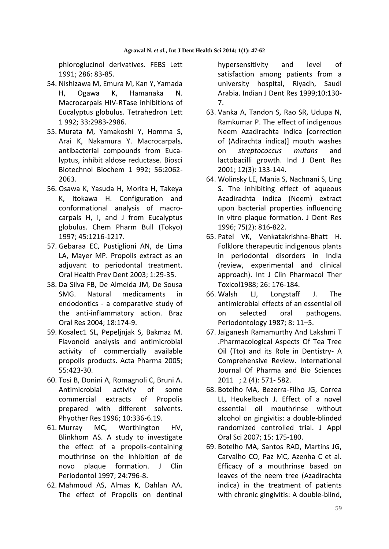phloroglucinol derivatives. FEBS Lett 1991; 286: 83-85.

- 54. Nishizawa M, Emura M, Kan Y, Yamada H, Ogawa K, Hamanaka N. Macrocarpals HIV-RTase inhibitions of Eucalyptus globulus. Tetrahedron Lett 1 992; 33:2983-2986.
- 55. Murata M, Yamakoshi Y, Homma S, Arai K, Nakamura Y. Macrocarpals, antibacterial compounds from Eucalyptus, inhibit aldose reductase. Biosci Biotechnol Biochem 1 992; 56:2062- 2063.
- 56. Osawa K, Yasuda H, Morita H, Takeya K, Itokawa H. Configuration and conformational analysis of macrocarpals H, I, and J from Eucalyptus globulus. Chem Pharm Bull (Tokyo) 1997; 45:1216-1217.
- 57. Gebaraa EC, Pustiglioni AN, de Lima LA, Mayer MP. Propolis extract as an adjuvant to periodontal treatment. Oral Health Prev Dent 2003; 1:29-35.
- 58. Da Silva FB, De Almeida JM, De Sousa SMG. Natural medicaments in endodontics - a comparative study of the anti-inflammatory action. Braz Oral Res 2004; 18:174-9.
- 59. Kosalec1 SL, Pepeljnjak S, Bakmaz M. Flavonoid analysis and antimicrobial activity of commercially available propolis products. Acta Pharma 2005; 55:423-30.
- 60. Tosi B, Donini A, Romagnoli C, Bruni A. Antimicrobial activity of some commercial extracts of Propolis prepared with different solvents. Phyother Res 1996; 10:336-6.19.
- 61. Murray MC, Worthington HV, Blinkhom AS. A study to investigate the effect of a propolis-containing mouthrinse on the inhibition of de novo plaque formation. J Clin Periodontol 1997; 24:796-8.
- 62. Mahmoud AS, Almas K, Dahlan AA. The effect of Propolis on dentinal

hypersensitivity and level of satisfaction among patients from a university hospital, Riyadh, Saudi Arabia. Indian J Dent Res 1999;10:130- 7.

- 63. Vanka A, Tandon S, Rao SR, Udupa N, Ramkumar P. The effect of indigenous Neem Azadirachta indica [correction of (Adirachta indica)] mouth washes on *streptococcus mutans* and lactobacilli growth. Ind J Dent Res 2001; 12(3): 133-144.
- 64. Wolinsky LE, Mania S, Nachnani S, Ling S. The inhibiting effect of aqueous Azadirachta indica (Neem) extract upon bacterial properties influencing in vitro plaque formation. J Dent Res 1996; 75(2): 816-822.
- 65. Patel VK, Venkatakrishna-Bhatt H. Folklore therapeutic indigenous plants in periodontal disorders in India (review, experimental and clinical approach). Int J Clin Pharmacol Ther Toxicol1988; 26: 176-184.
- 66. Walsh LJ, Longstaff J. The antimicrobial effects of an essential oil on selected oral pathogens. Periodontology 1987; 8: 11–5.
- 67. Jaiganesh Ramamurthy And Lakshmi T .Pharmacological Aspects Of Tea Tree Oil (Tto) and its Role in Dentistry- A Comprehensive Review. International Journal Of Pharma and Bio Sciences 2011 ; 2 (4): 571- 582.
- 68. Botelho MA, Bezerra-Filho JG, Correa LL, Heukelbach J. Effect of a novel essential oil mouthrinse without alcohol on gingivitis: a double-blinded randomized controlled trial. J Appl Oral Sci 2007; 15: 175-180.
- 69. Botelho MA, Santos RAD, Martins JG, Carvalho CO, Paz MC, Azenha C et al. Efficacy of a mouthrinse based on leaves of the neem tree (Azadirachta indica) in the treatment of patients with chronic gingivitis: A double-blind,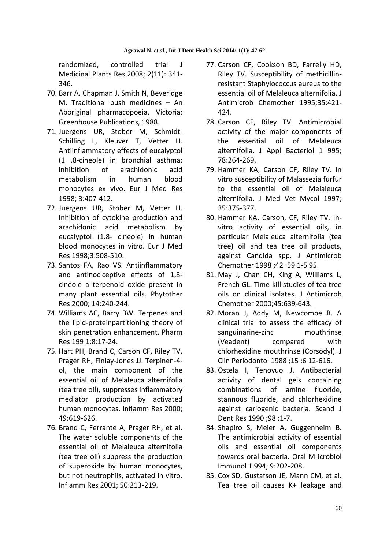randomized, controlled trial J Medicinal Plants Res 2008; 2(11): 341- 346.

- 70. Barr A, Chapman J, Smith N, Beveridge M. Traditional bush medicines – An Aboriginal pharmacopoeia. Victoria: Greenhouse Publications, 1988.
- 71. Juergens UR, Stober M, Schmidt-Schilling L, Kleuver T, Vetter H. Antiinflammatory effects of eucalyptol (1 .8-cineole) in bronchial asthma: inhibition of arachidonic acid metabolism in human blood monocytes ex vivo. Eur J Med Res 1998; 3:407-412.
- 72. Juergens UR, Stober M, Vetter H. Inhibition of cytokine production and arachidonic acid metabolism by eucalyptol (1.8- cineole) in human blood monocytes in vitro. Eur J Med Res 1998;3:508-510.
- 73. Santos FA, Rao VS. Antiinflammatory and antinociceptive effects of 1,8 cineole a terpenoid oxide present in many plant essential oils. Phytother Res 2000; 14:240-244.
- 74. Williams AC, Barry BW. Terpenes and the lipid-proteinpartitioning theory of skin penetration enhancement. Pharm Res 199 1;8:17-24.
- 75. Hart PH, Brand C, Carson CF, Riley TV, Prager RH, Finlay-Jones JJ. Terpinen-4 ol, the main component of the essential oil of Melaleuca alternifolia (tea tree oil), suppresses inflammatory mediator production by activated human monocytes. Inflamm Res 2000; 49:619-626.
- 76. Brand C, Ferrante A, Prager RH, et al. The water soluble components of the essential oil of Melaleuca alternifolia (tea tree oil) suppress the production of superoxide by human monocytes, but not neutrophils, activated in vitro. Inflamm Res 2001; 50:213-219.
- 77. Carson CF, Cookson BD, Farrelly HD, Riley TV. Susceptibility of methicillinresistant Staphylococcus aureus to the essential oil of Melaleuca alternifolia. J Antimicrob Chemother 1995;35:421- 424.
- 78. Carson CF, Riley TV. Antimicrobial activity of the major components of the essential oil of Melaleuca alternifolia. J Appl Bacteriol 1 995; 78:264-269.
- 79. Hammer KA, Carson CF, Riley TV. In vitro susceptibility of Malassezia furfur to the essential oil of Melaleuca alternifolia. J Med Vet Mycol 1997; 35:375-377.
- 80. Hammer KA, Carson, CF, Riley TV. Invitro activity of essential oils, in particular Melaleuca alternifolia (tea tree) oil and tea tree oil products, against Candida spp. J Antimicrob Chemother 1998 ;42 :59 1-5 95.
- 81. May J, Chan CH, King A, Williams L, French GL. Time-kill studies of tea tree oils on clinical isolates. J Antimicrob Chemother 2000;45:639-643.
- 82. Moran J, Addy M, Newcombe R. A clinical trial to assess the efficacy of sanguinarine-zinc mouthrinse (Veadent) compared with chlorhexidine mouthrinse (Corsodyl). J Clin Periodontol 1988 ;15 :6 12-616.
- 83. Ostela I, Tenovuo J. Antibacterial activity of dental gels containing combinations of amine fluoride, stannous fluoride, and chlorhexidine against cariogenic bacteria. Scand J Dent Res 1990 ;98 :1-7.
- 84. Shapiro S, Meier A, Guggenheim B. The antimicrobial activity of essential oils and essential oil components towards oral bacteria. Oral M icrobiol Immunol 1 994; 9:202-208.
- 85. Cox SD, Gustafson JE, Mann CM, et al. Tea tree oil causes K+ leakage and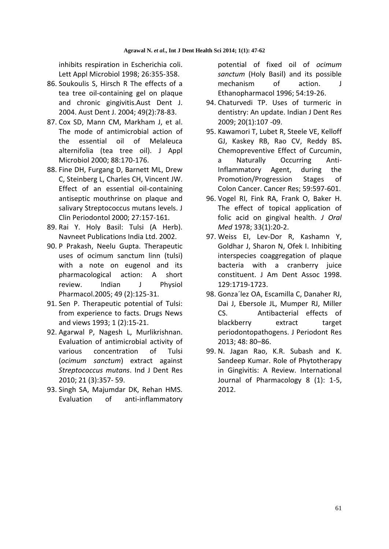inhibits respiration in Escherichia coli. Lett Appl Microbiol 1998; 26:355-358.

- 86. Soukoulis S, Hirsch R The effects of a tea tree oil-containing gel on plaque and chronic gingivitis.Aust Dent J. 2004. Aust Dent J. 2004; 49(2):78-83.
- 87. Cox SD, Mann CM, Markham J, et al. The mode of antimicrobial action of the essential oil of Melaleuca alternifolia (tea tree oil). J Appl Microbiol 2000; 88:170-176.
- 88. Fine DH, Furgang D, Barnett ML, Drew C, Steinberg L, Charles CH, Vincent JW. Effect of an essential oil-containing antiseptic mouthrinse on plaque and salivary Streptococcus mutans levels. J Clin Periodontol 2000; 27:157-161.
- 89. Rai Y. Holy Basil: Tulsi (A Herb). Navneet Publications India Ltd. 2002.
- 90. P Prakash, Neelu Gupta. Therapeutic uses of ocimum sanctum linn (tulsi) with a note on eugenol and its pharmacological action: A short review. Indian J Physiol Pharmacol.2005; 49 (2):125-31.
- 91. Sen P. Therapeutic potential of Tulsi: from experience to facts. Drugs News and views 1993; 1 (2):15-21.
- 92. Agarwal P, Nagesh L, Murlikrishnan. Evaluation of antimicrobial activity of various concentration of Tulsi (*ocimum sanctum*) extract against *Streptococcus mutans*. Ind J Dent Res 2010; 21 (3):357- 59.
- 93. Singh SA, Majumdar DK, Rehan HMS. Evaluation of anti-inflammatory

potential of fixed oil of *ocimum sanctum* (Holy Basil) and its possible mechanism of action. J Ethanopharmacol 1996; 54:19-26.

- 94. Chaturvedi TP. Uses of turmeric in dentistry: An update. Indian J Dent Res 2009; 20(1):107 -09.
- 95. Kawamori T, Lubet R, Steele VE, Kelloff GJ, Kaskey RB, Rao CV, Reddy BS**.**  Chemopreventive Effect of Curcumin, a Naturally Occurring Anti-Inflammatory Agent, during the Promotion/Progression Stages of Colon Cancer. Cancer Res; 59:597-601.
- 96. Vogel RI, Fink RA, Frank O, Baker H. The effect of topical application of folic acid on gingival health. *J Oral Med* 1978; 33(1):20-2.
- 97. Weiss EI, Lev-Dor R, Kashamn Y, Goldhar J, Sharon N, Ofek I. Inhibiting interspecies coaggregation of plaque bacteria with a cranberry juice constituent. J Am Dent Assoc 1998. 129:1719-1723.
- 98. Gonza´lez OA, Escamilla C, Danaher RJ, Dai J, Ebersole JL, Mumper RJ, Miller CS. Antibacterial effects of blackberry extract target periodontopathogens. J Periodont Res 2013; 48: 80–86.
- 99. N. Jagan Rao, K.R. Subash and K. Sandeep Kumar. Role of Phytotherapy in Gingivitis: A Review. International Journal of Pharmacology 8 (1): 1-5, 2012.